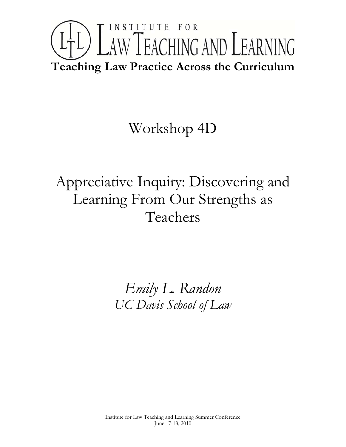# INSTITUTE FOR LTL) LAW TEACHING AND LEARNING **Teaching Law Practice Across the Curriculum**

## Workshop 4D

## Appreciative Inquiry: Discovering and Learning From Our Strengths as Teachers

*Emily L. Randon UC Davis School of Law*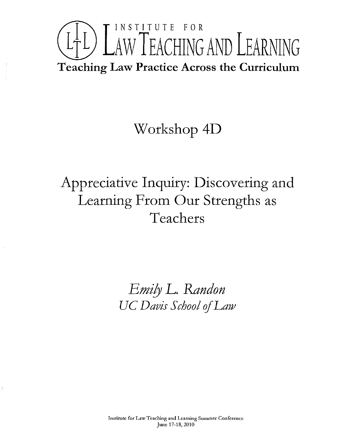

#### Workshop 4D

### Appreciative Inquiry: Discovering and Learning From Our Strengths as Teachers

*EmilY* L. *&ndon UC Davis School* if*Law*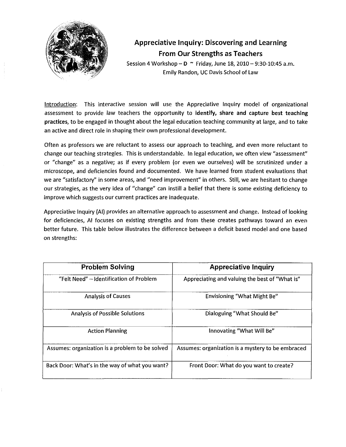

#### **Appreciative Inquiry: Discovering and Learning From Our Strengths as Teachers**

Session 4 Workshop  $-$  D  $\sim$  Friday, June 18, 2010  $-$  9:30-10:45 a.m. Emily Randon, UC Davis School of Law

Introduction: This interactive session will use the Appreciative Inquiry model of organizational assessment to provide law teachers the opportunity to identify, share and capture best teaching practices, to be engaged in thought about the legal education teaching community at large, and to take an active and direct role in shaping their own professional development.

Often as professors we are reluctant to assess our approach to teaching, and even more reluctant to change our teaching strategies. This is understandable. In legal education, we often view "assessment" or "change" as a negative; as if every problem (or even we ourselves) will be scrutinized under a microscope, and deficiencies found and documented. We have learned from student evaluations that we are "satisfactory" in some areas, and "need improvement" in others. Still, we are hesitant to change our strategies, as the very idea of "change" can instill a belief that there is some existing deficiency to improve which suggests our current practices are inadequate.

Appreciative Inquiry (AI) provides an alternative approach to assessment and change. Instead of looking for deficiencies, AI focuses on existing strengths and from these creates pathways toward an even better future. This table below illustrates the difference between a deficit based model and one based on strengths:

| <b>Problem Solving</b>                          | <b>Appreciative Inquiry</b>                       |
|-------------------------------------------------|---------------------------------------------------|
| "Felt Need" - Identification of Problem         | Appreciating and valuing the best of "What is"    |
| <b>Analysis of Causes</b>                       | Envisioning "What Might Be"                       |
| <b>Analysis of Possible Solutions</b>           | Dialoguing "What Should Be"                       |
| <b>Action Planning</b>                          | Innovating "What Will Be"                         |
| Assumes: organization is a problem to be solved | Assumes: organization is a mystery to be embraced |
| Back Door: What's in the way of what you want?  | Front Door: What do you want to create?           |
|                                                 |                                                   |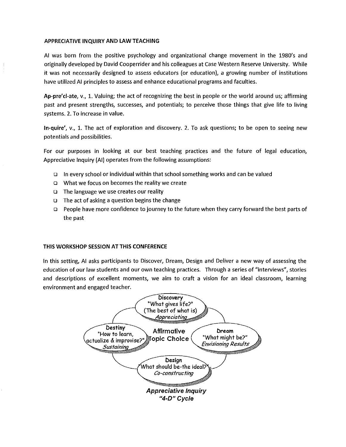#### APPRECIATIVE INQUIRY AND LAW TEACHING

AI was born from the positive psychology and organizational change movement in the 1980's and originally developed by David Cooperrider and his colleagues at Case Western Reserve University. While it was not necessarily designed to assess educators (or education), a growing number of institutions have utilized AI principles to assess and enhance educational programs and faculties.

Ap-pre'ci-ate, v., 1. Valuing; the act of recognizing the best in people or the world around us; affirming past and present strengths, successes, and potentials; to perceive those things that give life to living systems. 2. To increase in value.

In-quire', v., 1. The act of exploration and discovery. 2. To ask questions; to be open to seeing new potentials and possibilities.

For our purposes in looking at our best teaching practices and the future of legal education, Appreciative Inquiry (AI) operates from the following assumptions:

- In every school or individual within that school something works and can be valued
- o What we focus on becomes the reality we create
- $\Box$  The language we use creates our reality
- $\Box$  The act of asking a question begins the change
- o People have more confidence to journey to the future when they carry forward the best parts of the past

#### THIS WORKSHOP SESSION AT THIS CONFERENCE

In this setting, AI asks participants to Discover, Dream, Design and Deliver a new way of assessing the education of our law students and our own teaching practices. Through a series of "interviews", stories and descriptions of exceilent moments, we aim to craft a vision for an ideal classroom, learning environment and engaged teacher.